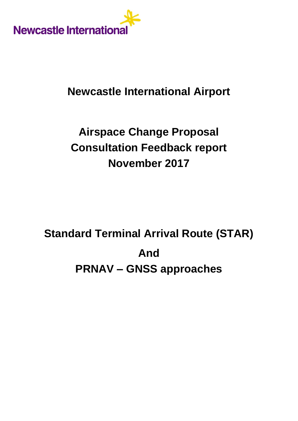

# **Newcastle International Airport**

# **Airspace Change Proposal Consultation Feedback report November 2017**

# **Standard Terminal Arrival Route (STAR) And PRNAV – GNSS approaches**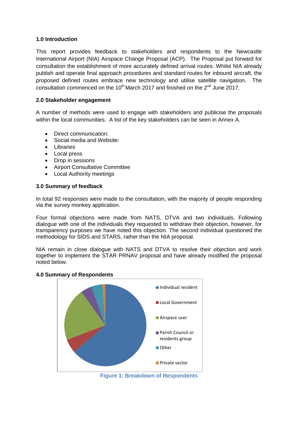# **1.0 Introduction**

This report provides feedback to stakeholders and respondents to the Newcastle International Airport (NIA) Airspace Change Proposal (ACP). The Proposal put forward for consultation the establishment of more accurately defined arrival routes. Whilst NIA already publish and operate final approach procedures and standard routes for inbound aircraft, the proposed defined routes embrace new technology and utilise satellite navigation. The consultation commenced on the 10<sup>th</sup> March 2017 and finished on the  $2^{nd}$  June 2017.

# **2.0 Stakeholder engagement**

A number of methods were used to engage with stakeholders and publicise the proposals within the local communities. A list of the key stakeholders can be seen in Annex A.

- Direct communication:
- Social media and Website:
- Libraries
- Local press
- Drop in sessions
- Airport Consultative Committee
- Local Authority meetings

# **3.0 Summary of feedback**

In total 92 responses were made to the consultation, with the majority of people responding via the survey monkey application.

Four formal objections were made from NATS, DTVA and two individuals. Following dialogue with one of the individuals they requested to withdraw their objection, however, for transparency purposes we have noted this objection. The second individual questioned the methodology for SIDS and STARS, rather than the NIA proposal.

NIA remain in close dialogue with NATS and DTVA to resolve their objection and work together to implement the STAR PRNAV proposal and have already modified the proposal noted below.

# **4.0 Summary of Respondents**



**Figure 1: Breakdown of Respondents**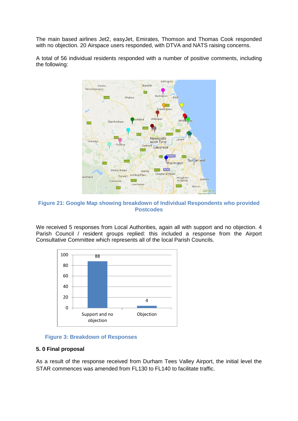The main based airlines Jet2, easyJet, Emirates, Thomson and Thomas Cook responded with no objection. 20 Airspace users responded, with DTVA and NATS raising concerns.

A total of 56 individual residents responded with a number of positive comments, including the following:



**Figure 21: Google Map showing breakdown of Individual Respondents who provided Postcodes**

We received 5 responses from Local Authorities, again all with support and no objection, 4 Parish Council / resident groups replied: this included a response from the Airport Consultative Committee which represents all of the local Parish Councils.



**Figure 3: Breakdown of Responses**

## **5. 0 Final proposal**

As a result of the response received from Durham Tees Valley Airport, the initial level the STAR commences was amended from FL130 to FL140 to facilitate traffic.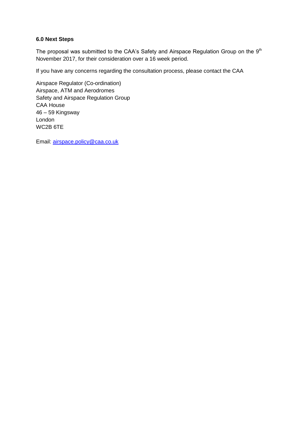# **6.0 Next Steps**

The proposal was submitted to the CAA's Safety and Airspace Regulation Group on the  $9<sup>th</sup>$ November 2017, for their consideration over a 16 week period.

If you have any concerns regarding the consultation process, please contact the CAA

Airspace Regulator (Co-ordination) Airspace, ATM and Aerodromes Safety and Airspace Regulation Group CAA House 46 – 59 Kingsway London WC2B 6TE

Email: [airspace.policy@caa.co.uk](mailto:airspace.policy@caa.co.uk)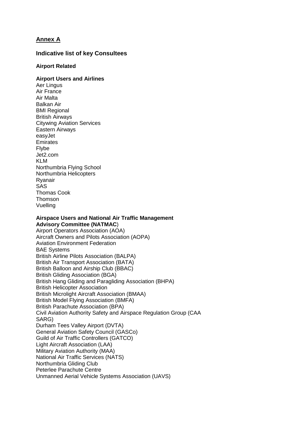# **Annex A**

# **Indicative list of key Consultees**

# **Airport Related**

# **Airport Users and Airlines**

Aer Lingus Air France Air Malta Balkan Air BMI Regional British Airways Citywing Aviation Services Eastern Airways easyJet **Emirates** Flybe Jet2.com KLM Northumbria Flying School Northumbria Helicopters Ryanair SAS Thomas Cook Thomson Vuelling

#### **Airspace Users and National Air Traffic Management Advisory Committee (NATMAC**)

Airport Operators Association (AOA) Aircraft Owners and Pilots Association (AOPA) Aviation Environment Federation BAE Systems British Airline Pilots Association (BALPA) British Air Transport Association (BATA) British Balloon and Airship Club (BBAC) British Gliding Association (BGA) British Hang Gliding and Paragliding Association (BHPA) British Helicopter Association British Microlight Aircraft Association (BMAA) British Model Flying Association (BMFA) British Parachute Association (BPA) Civil Aviation Authority Safety and Airspace Regulation Group (CAA SARG) Durham Tees Valley Airport (DVTA) General Aviation Safety Council (GASCo) Guild of Air Traffic Controllers (GATCO) Light Aircraft Association (LAA) Military Aviation Authority (MAA) National Air Traffic Services (NATS) Northumbria Gliding Club Peterlee Parachute Centre Unmanned Aerial Vehicle Systems Association (UAVS)